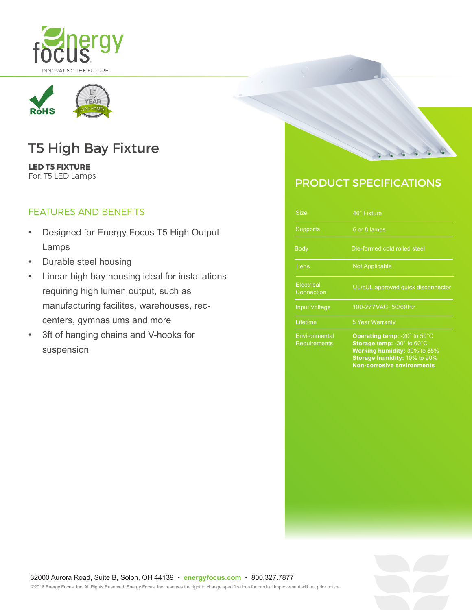



# T5 High Bay Fixture

**LED T5 FIXTURE**  For: T5 LED Lamps

### FEATURES AND BENEFITS

- Designed for Energy Focus T5 High Output Lamps
- Durable steel housing
- Linear high bay housing ideal for installations requiring high lumen output, such as manufacturing facilites, warehouses, reccenters, gymnasiums and more
- 3ft of hanging chains and V-hooks for suspension



## PRODUCT SPECIFICATIONS

| <b>Size</b>                   | 46" Fixture                                                                                                                                                            |
|-------------------------------|------------------------------------------------------------------------------------------------------------------------------------------------------------------------|
| <b>Supports</b>               | 6 or 8 lamps                                                                                                                                                           |
| <b>Body</b>                   | Die-formed cold rolled steel                                                                                                                                           |
| Lens                          | <b>Not Applicable</b>                                                                                                                                                  |
| Electrical<br>Connection      | UL/cUL approved quick disconnector                                                                                                                                     |
| <b>Input Voltage</b>          | 100-277VAC, 50/60Hz                                                                                                                                                    |
| Lifetime                      | <b>5 Year Warranty</b>                                                                                                                                                 |
| Environmental<br>Requirements | Operating temp: -20° to 50°C<br>Storage temp: -30° to 60°C<br><b>Working humidity: 30% to 85%</b><br>Storage humidity: 10% to 90%<br><b>Non-corrosive environments</b> |